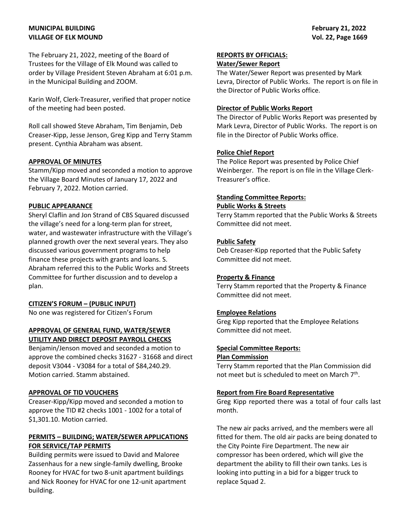# **MUNICIPAL BUILDING VILLAGE OF ELK MOUND**

The February 21, 2022, meeting of the Board of Trustees for the Village of Elk Mound was called to order by Village President Steven Abraham at 6:01 p.m. in the Municipal Building and ZOOM.

Karin Wolf, Clerk-Treasurer, verified that proper notice of the meeting had been posted.

Roll call showed Steve Abraham, Tim Benjamin, Deb Creaser-Kipp, Jesse Jenson, Greg Kipp and Terry Stamm present. Cynthia Abraham was absent.

# **APPROVAL OF MINUTES**

Stamm/Kipp moved and seconded a motion to approve the Village Board Minutes of January 17, 2022 and February 7, 2022. Motion carried.

# **PUBLIC APPEARANCE**

Sheryl Claflin and Jon Strand of CBS Squared discussed the village's need for a long-term plan for street, water, and wastewater infrastructure with the Village's planned growth over the next several years. They also discussed various government programs to help finance these projects with grants and loans. S. Abraham referred this to the Public Works and Streets Committee for further discussion and to develop a plan.

# **CITIZEN'S FORUM – (PUBLIC INPUT)**

No one was registered for Citizen's Forum

### **APPROVAL OF GENERAL FUND, WATER/SEWER UTILITY AND DIRECT DEPOSIT PAYROLL CHECKS**

Benjamin/Jenson moved and seconded a motion to approve the combined checks 31627 - 31668 and direct deposit V3044 - V3084 for a total of \$84,240.29. Motion carried. Stamm abstained.

# **APPROVAL OF TID VOUCHERS**

Creaser-Kipp/Kipp moved and seconded a motion to approve the TID #2 checks 1001 - 1002 for a total of \$1,301.10. Motion carried.

# **PERMITS – BUILDING; WATER/SEWER APPLICATIONS FOR SERVICE/TAP PERMITS**

Building permits were issued to David and Maloree Zassenhaus for a new single-family dwelling, Brooke Rooney for HVAC for two 8-unit apartment buildings and Nick Rooney for HVAC for one 12-unit apartment building.

# **REPORTS BY OFFICIALS:**

# **Water/Sewer Report**

The Water/Sewer Report was presented by Mark Levra, Director of Public Works. The report is on file in the Director of Public Works office.

### **Director of Public Works Report**

The Director of Public Works Report was presented by Mark Levra, Director of Public Works. The report is on file in the Director of Public Works office.

# **Police Chief Report**

The Police Report was presented by Police Chief Weinberger. The report is on file in the Village Clerk-Treasurer's office.

# **Standing Committee Reports:**

#### **Public Works & Streets**

Terry Stamm reported that the Public Works & Streets Committee did not meet.

# **Public Safety**

Deb Creaser-Kipp reported that the Public Safety Committee did not meet.

# **Property & Finance**

Terry Stamm reported that the Property & Finance Committee did not meet.

# **Employee Relations**

Greg Kipp reported that the Employee Relations Committee did not meet.

# **Special Committee Reports:**

# **Plan Commission**

Terry Stamm reported that the Plan Commission did not meet but is scheduled to meet on March 7<sup>th</sup>.

# **Report from Fire Board Representative**

Greg Kipp reported there was a total of four calls last month.

The new air packs arrived, and the members were all fitted for them. The old air packs are being donated to the City Pointe Fire Department. The new air compressor has been ordered, which will give the department the ability to fill their own tanks. Les is looking into putting in a bid for a bigger truck to replace Squad 2.